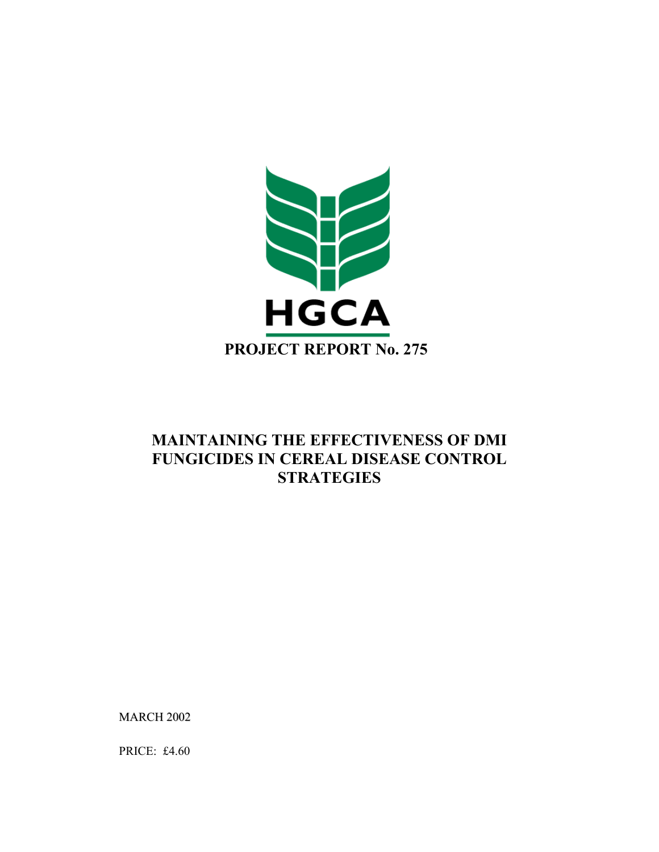

# **MAINTAINING THE EFFECTIVENESS OF DMI FUNGICIDES IN CEREAL DISEASE CONTROL STRATEGIES**

MARCH 2002

PRICE: £4.60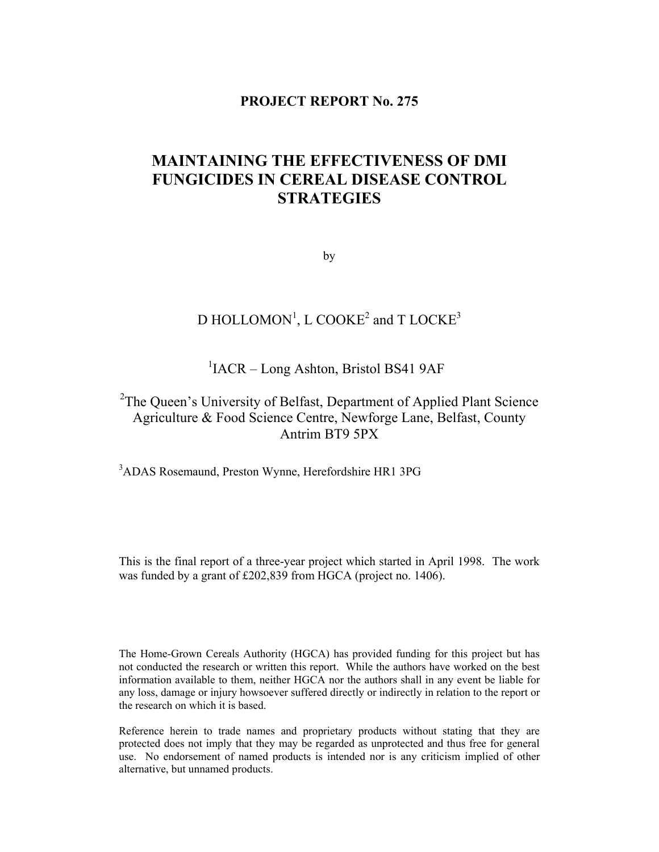# **PROJECT REPORT No. 275**

# **MAINTAINING THE EFFECTIVENESS OF DMI FUNGICIDES IN CEREAL DISEASE CONTROL STRATEGIES**

by

# D HOLLOMON $^1$ , L COOKE $^2$  and T LOCKE $^3$

# <sup>1</sup>IACR – Long Ashton, Bristol BS41 9AF

# <sup>2</sup>The Queen's University of Belfast, Department of Applied Plant Science Agriculture & Food Science Centre, Newforge Lane, Belfast, County Antrim BT9 5PX

3 ADAS Rosemaund, Preston Wynne, Herefordshire HR1 3PG

This is the final report of a three-year project which started in April 1998. The work was funded by a grant of £202,839 from HGCA (project no. 1406).

The Home-Grown Cereals Authority (HGCA) has provided funding for this project but has not conducted the research or written this report. While the authors have worked on the best information available to them, neither HGCA nor the authors shall in any event be liable for any loss, damage or injury howsoever suffered directly or indirectly in relation to the report or the research on which it is based.

Reference herein to trade names and proprietary products without stating that they are protected does not imply that they may be regarded as unprotected and thus free for general use. No endorsement of named products is intended nor is any criticism implied of other alternative, but unnamed products.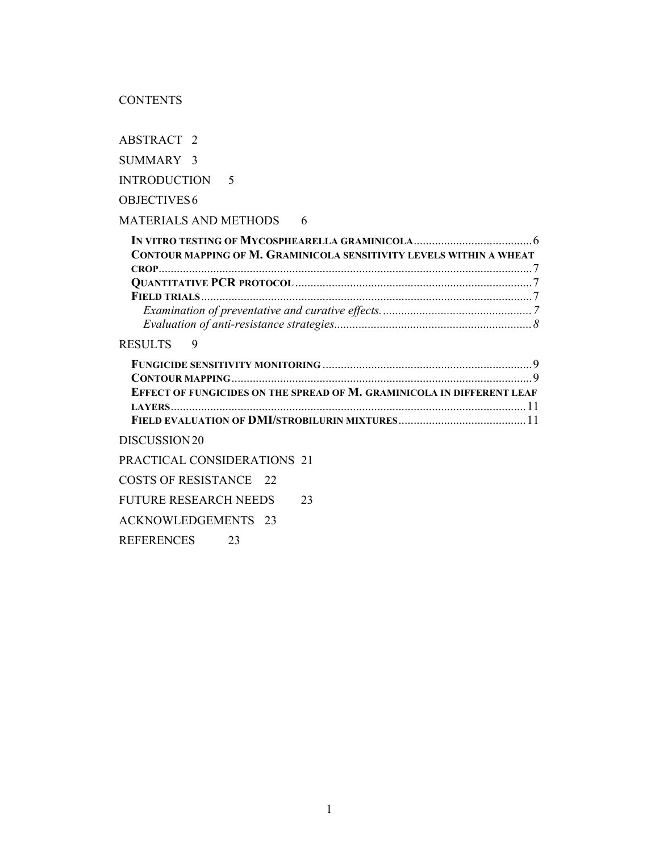**CONTENTS** 

ABSTRACT 2

SUMMARY 3

INTRODUCTION 5

OBJECTIVES 6

MATERIALS AND METHODS 6

| CONTOUR MAPPING OF M. GRAMINICOLA SENSITIVITY LEVELS WITHIN A WHEAT |  |
|---------------------------------------------------------------------|--|
|                                                                     |  |
|                                                                     |  |
|                                                                     |  |
|                                                                     |  |
|                                                                     |  |

# RESULTS 9

| EFFECT OF FUNGICIDES ON THE SPREAD OF M. GRAMINICOLA IN DIFFERENT LEAF |  |
|------------------------------------------------------------------------|--|
|                                                                        |  |
|                                                                        |  |

DISCUSSION 20

PRACTICAL CONSIDERATIONS 21

COSTS OF RESISTANCE 22

FUTURE RESEARCH NEEDS 23

ACKNOWLEDGEMENTS 23

REFERENCES 23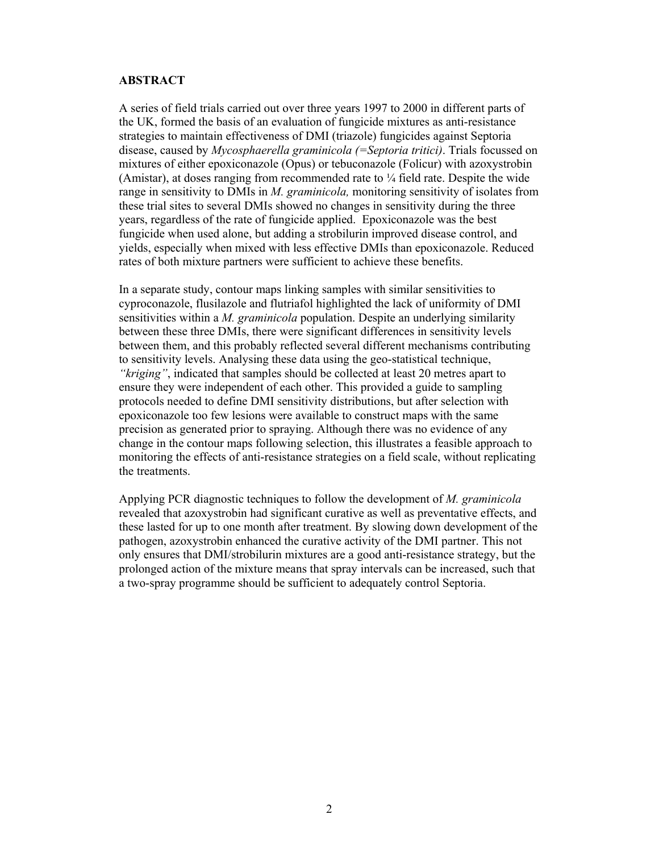#### **ABSTRACT**

A series of field trials carried out over three years 1997 to 2000 in different parts of the UK, formed the basis of an evaluation of fungicide mixtures as anti-resistance strategies to maintain effectiveness of DMI (triazole) fungicides against Septoria disease, caused by *Mycosphaerella graminicola (=Septoria tritici)*. Trials focussed on mixtures of either epoxiconazole (Opus) or tebuconazole (Folicur) with azoxystrobin (Amistar), at doses ranging from recommended rate to  $\frac{1}{4}$  field rate. Despite the wide range in sensitivity to DMIs in *M. graminicola,* monitoring sensitivity of isolates from these trial sites to several DMIs showed no changes in sensitivity during the three years, regardless of the rate of fungicide applied. Epoxiconazole was the best fungicide when used alone, but adding a strobilurin improved disease control, and yields, especially when mixed with less effective DMIs than epoxiconazole. Reduced rates of both mixture partners were sufficient to achieve these benefits.

In a separate study, contour maps linking samples with similar sensitivities to cyproconazole, flusilazole and flutriafol highlighted the lack of uniformity of DMI sensitivities within a *M. graminicola* population. Despite an underlying similarity between these three DMIs, there were significant differences in sensitivity levels between them, and this probably reflected several different mechanisms contributing to sensitivity levels. Analysing these data using the geo-statistical technique, *"kriging"*, indicated that samples should be collected at least 20 metres apart to ensure they were independent of each other. This provided a guide to sampling protocols needed to define DMI sensitivity distributions, but after selection with epoxiconazole too few lesions were available to construct maps with the same precision as generated prior to spraying. Although there was no evidence of any change in the contour maps following selection, this illustrates a feasible approach to monitoring the effects of anti-resistance strategies on a field scale, without replicating the treatments.

Applying PCR diagnostic techniques to follow the development of *M. graminicola*  revealed that azoxystrobin had significant curative as well as preventative effects, and these lasted for up to one month after treatment. By slowing down development of the pathogen, azoxystrobin enhanced the curative activity of the DMI partner. This not only ensures that DMI/strobilurin mixtures are a good anti-resistance strategy, but the prolonged action of the mixture means that spray intervals can be increased, such that a two-spray programme should be sufficient to adequately control Septoria.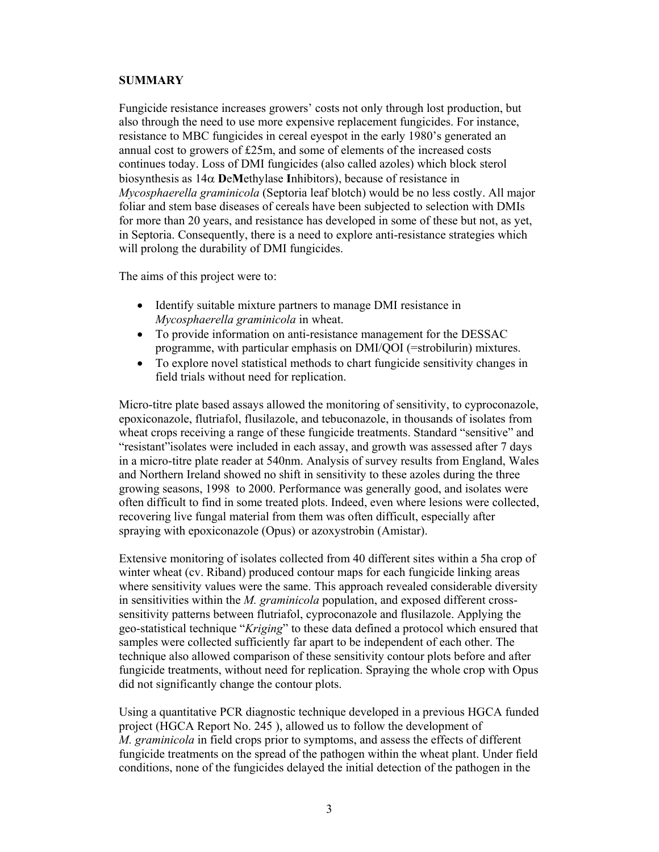# **SUMMARY**

Fungicide resistance increases growers' costs not only through lost production, but also through the need to use more expensive replacement fungicides. For instance, resistance to MBC fungicides in cereal eyespot in the early 1980's generated an annual cost to growers of £25m, and some of elements of the increased costs continues today. Loss of DMI fungicides (also called azoles) which block sterol biosynthesis as 14α **D**e**M**ethylase **I**nhibitors), because of resistance in *Mycosphaerella graminicola* (Septoria leaf blotch) would be no less costly. All major foliar and stem base diseases of cereals have been subjected to selection with DMIs for more than 20 years, and resistance has developed in some of these but not, as yet, in Septoria. Consequently, there is a need to explore anti-resistance strategies which will prolong the durability of DMI fungicides.

The aims of this project were to:

- Identify suitable mixture partners to manage DMI resistance in *Mycosphaerella graminicola* in wheat.
- To provide information on anti-resistance management for the DESSAC programme, with particular emphasis on DMI/QOI (=strobilurin) mixtures.
- To explore novel statistical methods to chart fungicide sensitivity changes in field trials without need for replication.

Micro-titre plate based assays allowed the monitoring of sensitivity, to cyproconazole, epoxiconazole, flutriafol, flusilazole, and tebuconazole, in thousands of isolates from wheat crops receiving a range of these fungicide treatments. Standard "sensitive" and "resistant"isolates were included in each assay, and growth was assessed after 7 days in a micro-titre plate reader at 540nm. Analysis of survey results from England, Wales and Northern Ireland showed no shift in sensitivity to these azoles during the three growing seasons, 1998 to 2000. Performance was generally good, and isolates were often difficult to find in some treated plots. Indeed, even where lesions were collected, recovering live fungal material from them was often difficult, especially after spraying with epoxiconazole (Opus) or azoxystrobin (Amistar).

Extensive monitoring of isolates collected from 40 different sites within a 5ha crop of winter wheat (cv. Riband) produced contour maps for each fungicide linking areas where sensitivity values were the same. This approach revealed considerable diversity in sensitivities within the *M. graminicola* population, and exposed different crosssensitivity patterns between flutriafol, cyproconazole and flusilazole. Applying the geo-statistical technique "*Kriging*" to these data defined a protocol which ensured that samples were collected sufficiently far apart to be independent of each other. The technique also allowed comparison of these sensitivity contour plots before and after fungicide treatments, without need for replication. Spraying the whole crop with Opus did not significantly change the contour plots.

Using a quantitative PCR diagnostic technique developed in a previous HGCA funded project (HGCA Report No. 245 ), allowed us to follow the development of *M. graminicola* in field crops prior to symptoms, and assess the effects of different fungicide treatments on the spread of the pathogen within the wheat plant. Under field conditions, none of the fungicides delayed the initial detection of the pathogen in the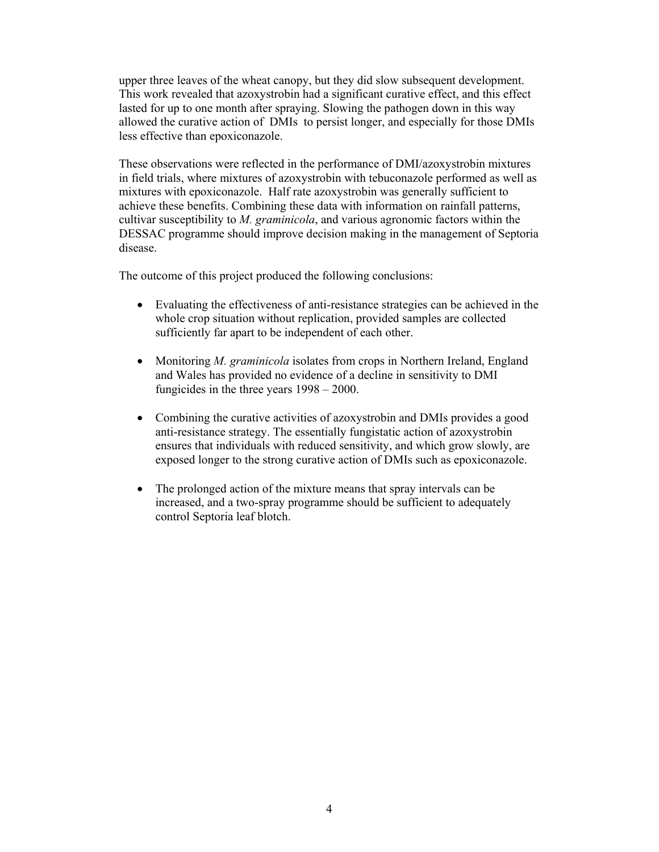upper three leaves of the wheat canopy, but they did slow subsequent development. This work revealed that azoxystrobin had a significant curative effect, and this effect lasted for up to one month after spraying. Slowing the pathogen down in this way allowed the curative action of DMIs to persist longer, and especially for those DMIs less effective than epoxiconazole.

These observations were reflected in the performance of DMI/azoxystrobin mixtures in field trials, where mixtures of azoxystrobin with tebuconazole performed as well as mixtures with epoxiconazole. Half rate azoxystrobin was generally sufficient to achieve these benefits. Combining these data with information on rainfall patterns, cultivar susceptibility to *M. graminicola*, and various agronomic factors within the DESSAC programme should improve decision making in the management of Septoria disease.

The outcome of this project produced the following conclusions:

- Evaluating the effectiveness of anti-resistance strategies can be achieved in the whole crop situation without replication, provided samples are collected sufficiently far apart to be independent of each other.
- Monitoring *M. graminicola* isolates from crops in Northern Ireland, England and Wales has provided no evidence of a decline in sensitivity to DMI fungicides in the three years 1998 – 2000.
- Combining the curative activities of azoxystrobin and DMIs provides a good anti-resistance strategy. The essentially fungistatic action of azoxystrobin ensures that individuals with reduced sensitivity, and which grow slowly, are exposed longer to the strong curative action of DMIs such as epoxiconazole.
- The prolonged action of the mixture means that spray intervals can be increased, and a two-spray programme should be sufficient to adequately control Septoria leaf blotch.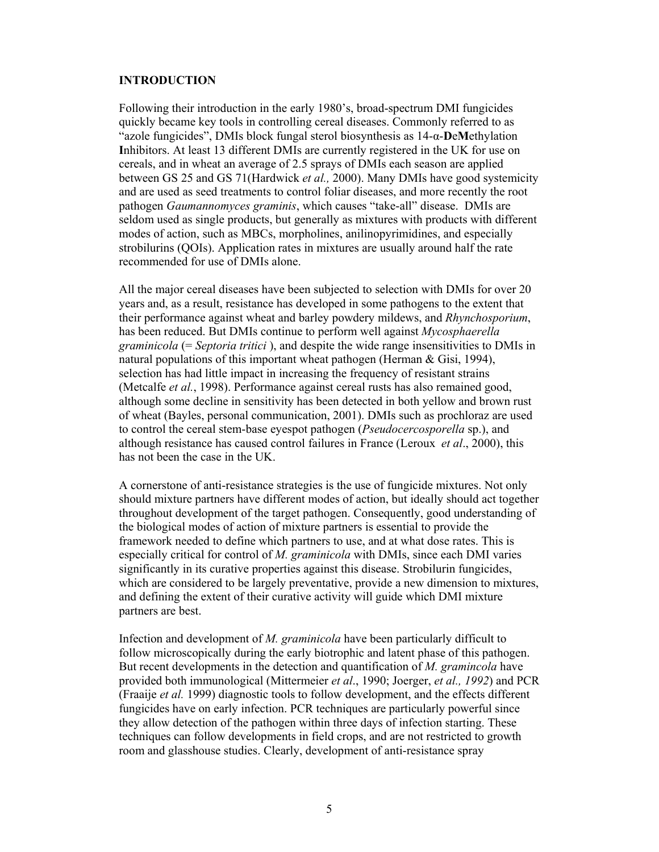# **INTRODUCTION**

Following their introduction in the early 1980's, broad-spectrum DMI fungicides quickly became key tools in controlling cereal diseases. Commonly referred to as "azole fungicides", DMIs block fungal sterol biosynthesis as 14-α-**D**e**M**ethylation **I**nhibitors. At least 13 different DMIs are currently registered in the UK for use on cereals, and in wheat an average of 2.5 sprays of DMIs each season are applied between GS 25 and GS 71(Hardwick *et al.,* 2000). Many DMIs have good systemicity and are used as seed treatments to control foliar diseases, and more recently the root pathogen *Gaumannomyces graminis*, which causes "take-all" disease. DMIs are seldom used as single products, but generally as mixtures with products with different modes of action, such as MBCs, morpholines, anilinopyrimidines, and especially strobilurins (QOIs). Application rates in mixtures are usually around half the rate recommended for use of DMIs alone.

All the major cereal diseases have been subjected to selection with DMIs for over 20 years and, as a result, resistance has developed in some pathogens to the extent that their performance against wheat and barley powdery mildews, and *Rhynchosporium*, has been reduced. But DMIs continue to perform well against *Mycosphaerella graminicola* (= *Septoria tritici* ), and despite the wide range insensitivities to DMIs in natural populations of this important wheat pathogen (Herman & Gisi, 1994), selection has had little impact in increasing the frequency of resistant strains (Metcalfe *et al.*, 1998). Performance against cereal rusts has also remained good, although some decline in sensitivity has been detected in both yellow and brown rust of wheat (Bayles, personal communication, 2001). DMIs such as prochloraz are used to control the cereal stem-base eyespot pathogen (*Pseudocercosporella* sp.), and although resistance has caused control failures in France (Leroux *et al*., 2000), this has not been the case in the UK.

A cornerstone of anti-resistance strategies is the use of fungicide mixtures. Not only should mixture partners have different modes of action, but ideally should act together throughout development of the target pathogen. Consequently, good understanding of the biological modes of action of mixture partners is essential to provide the framework needed to define which partners to use, and at what dose rates. This is especially critical for control of *M. graminicola* with DMIs, since each DMI varies significantly in its curative properties against this disease. Strobilurin fungicides, which are considered to be largely preventative, provide a new dimension to mixtures, and defining the extent of their curative activity will guide which DMI mixture partners are best.

Infection and development of *M. graminicola* have been particularly difficult to follow microscopically during the early biotrophic and latent phase of this pathogen. But recent developments in the detection and quantification of *M. gramincola* have provided both immunological (Mittermeier *et al*., 1990; Joerger, *et al., 1992*) and PCR (Fraaije *et al.* 1999) diagnostic tools to follow development, and the effects different fungicides have on early infection. PCR techniques are particularly powerful since they allow detection of the pathogen within three days of infection starting. These techniques can follow developments in field crops, and are not restricted to growth room and glasshouse studies. Clearly, development of anti-resistance spray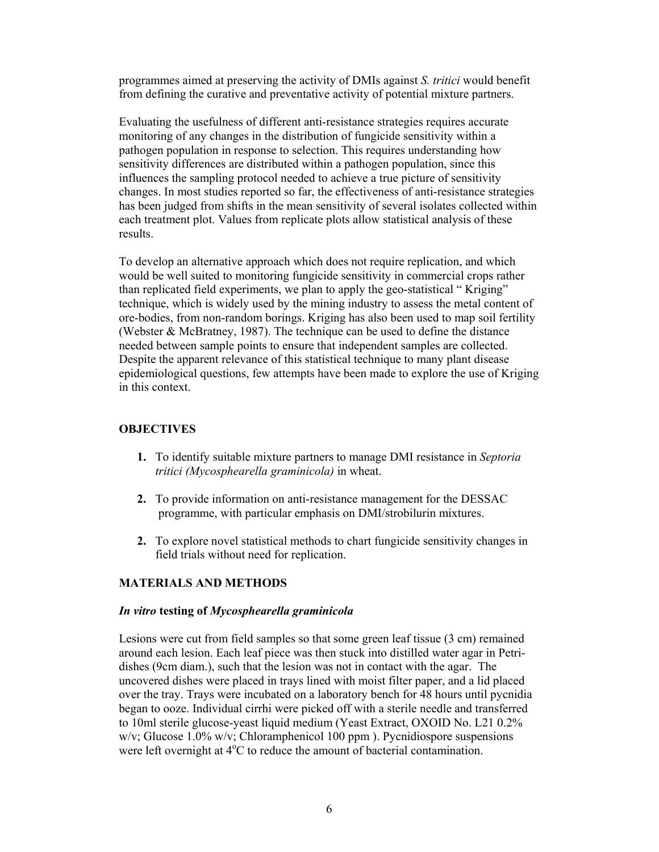programmes aimed at preserving the activity of DMIs against *S. tritici* would benefit from defining the curative and preventative activity of potential mixture partners.

Evaluating the usefulness of different anti-resistance strategies requires accurate monitoring of any changes in the distribution of fungicide sensitivity within a pathogen population in response to selection. This requires understanding how sensitivity differences are distributed within a pathogen population, since this influences the sampling protocol needed to achieve a true picture of sensitivity changes. In most studies reported so far, the effectiveness of anti-resistance strategies has been judged from shifts in the mean sensitivity of several isolates collected within each treatment plot. Values from replicate plots allow statistical analysis of these results.

To develop an alternative approach which does not require replication, and which would be well suited to monitoring fungicide sensitivity in commercial crops rather than replicated field experiments, we plan to apply the geo-statistical " Kriging" technique, which is widely used by the mining industry to assess the metal content of ore-bodies, from non-random borings. Kriging has also been used to map soil fertility (Webster & McBratney, 1987). The technique can be used to define the distance needed between sample points to ensure that independent samples are collected. Despite the apparent relevance of this statistical technique to many plant disease epidemiological questions, few attempts have been made to explore the use of Kriging in this context.

# **OBJECTIVES**

- **1.** To identify suitable mixture partners to manage DMI resistance in *Septoria tritici (Mycosphearella graminicola)* in wheat.
- **2.** To provide information on anti-resistance management for the DESSAC programme, with particular emphasis on DMI/strobilurin mixtures.
- **2.** To explore novel statistical methods to chart fungicide sensitivity changes in field trials without need for replication.

# **MATERIALS AND METHODS**

#### *In vitro* **testing of** *Mycosphearella graminicola*

Lesions were cut from field samples so that some green leaf tissue (3 cm) remained around each lesion. Each leaf piece was then stuck into distilled water agar in Petridishes (9cm diam.), such that the lesion was not in contact with the agar. The uncovered dishes were placed in trays lined with moist filter paper, and a lid placed over the tray. Trays were incubated on a laboratory bench for 48 hours until pycnidia began to ooze. Individual cirrhi were picked off with a sterile needle and transferred to 10ml sterile glucose-yeast liquid medium (Yeast Extract, OXOID No. L21 0.2% w/v; Glucose 1.0% w/v; Chloramphenicol 100 ppm ). Pycnidiospore suspensions were left overnight at 4°C to reduce the amount of bacterial contamination.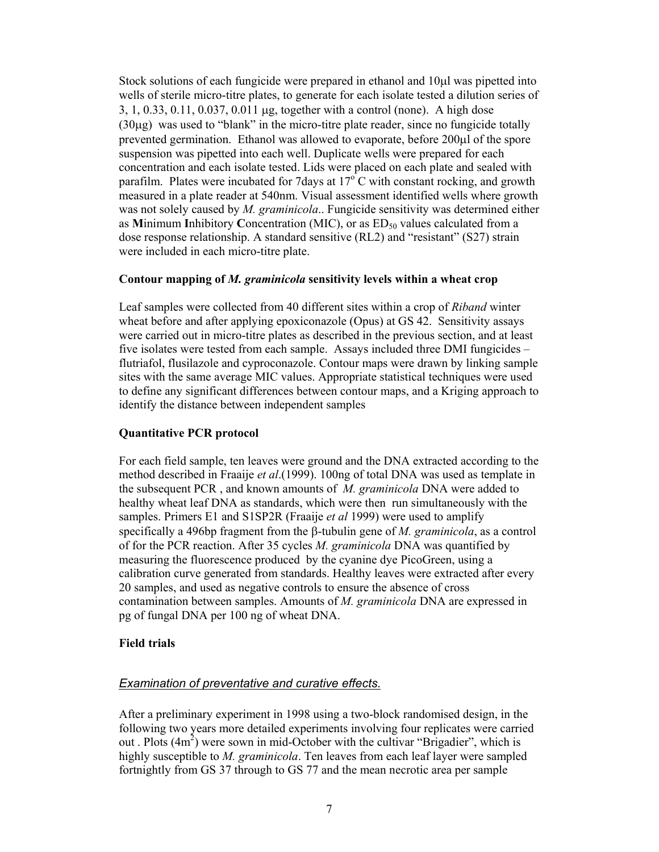Stock solutions of each fungicide were prepared in ethanol and 10µl was pipetted into wells of sterile micro-titre plates, to generate for each isolate tested a dilution series of 3, 1, 0.33, 0.11, 0.037, 0.011 µg, together with a control (none). A high dose  $(30\mu g)$  was used to "blank" in the micro-titre plate reader, since no fungicide totally prevented germination. Ethanol was allowed to evaporate, before 200µl of the spore suspension was pipetted into each well. Duplicate wells were prepared for each concentration and each isolate tested. Lids were placed on each plate and sealed with parafilm. Plates were incubated for 7 days at  $17^{\circ}$ C with constant rocking, and growth measured in a plate reader at 540nm. Visual assessment identified wells where growth was not solely caused by *M. graminicola*.. Fungicide sensitivity was determined either as **Minimum Inhibitory Concentration** (MIC), or as  $ED<sub>50</sub>$  values calculated from a dose response relationship. A standard sensitive (RL2) and "resistant" (S27) strain were included in each micro-titre plate.

# **Contour mapping of** *M. graminicola* **sensitivity levels within a wheat crop**

Leaf samples were collected from 40 different sites within a crop of *Riband* winter wheat before and after applying epoxiconazole (Opus) at GS 42. Sensitivity assays were carried out in micro-titre plates as described in the previous section, and at least five isolates were tested from each sample. Assays included three DMI fungicides – flutriafol, flusilazole and cyproconazole. Contour maps were drawn by linking sample sites with the same average MIC values. Appropriate statistical techniques were used to define any significant differences between contour maps, and a Kriging approach to identify the distance between independent samples

# **Quantitative PCR protocol**

For each field sample, ten leaves were ground and the DNA extracted according to the method described in Fraaije *et al*.(1999). 100ng of total DNA was used as template in the subsequent PCR , and known amounts of *M. graminicola* DNA were added to healthy wheat leaf DNA as standards, which were then run simultaneously with the samples. Primers E1 and S1SP2R (Fraaije *et al* 1999) were used to amplify specifically a 496bp fragment from the β-tubulin gene of *M. graminicola*, as a control of for the PCR reaction. After 35 cycles *M. graminicola* DNA was quantified by measuring the fluorescence produced by the cyanine dye PicoGreen, using a calibration curve generated from standards. Healthy leaves were extracted after every 20 samples, and used as negative controls to ensure the absence of cross contamination between samples. Amounts of *M. graminicola* DNA are expressed in pg of fungal DNA per 100 ng of wheat DNA.

# **Field trials**

# *Examination of preventative and curative effects.*

After a preliminary experiment in 1998 using a two-block randomised design, in the following two years more detailed experiments involving four replicates were carried out . Plots  $(4m^2)$  were sown in mid-October with the cultivar "Brigadier", which is highly susceptible to *M. graminicola*. Ten leaves from each leaf layer were sampled fortnightly from GS 37 through to GS 77 and the mean necrotic area per sample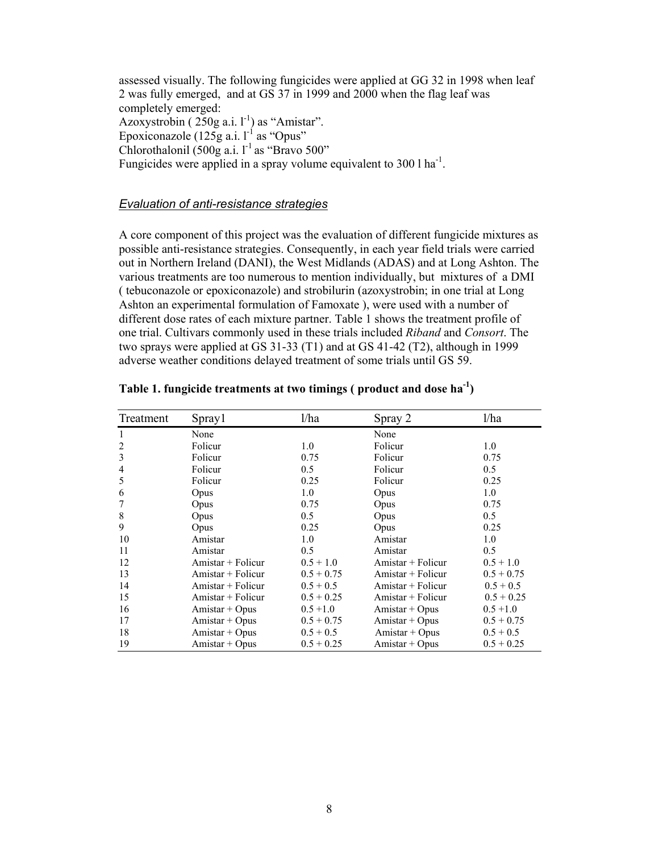assessed visually. The following fungicides were applied at GG 32 in 1998 when leaf 2 was fully emerged, and at GS 37 in 1999 and 2000 when the flag leaf was completely emerged: Azoxystrobin ( $250g$  a.i. l<sup>-1</sup>) as "Amistar". Epoxiconazole (125g a.i.  $I<sup>-1</sup>$  as "Opus" Chlorothalonil (500g a.i.  $l^{-1}$  as "Bravo 500" Fungicides were applied in a spray volume equivalent to  $300 \, 1 \, \text{ha}^{-1}$ .

### *Evaluation of anti-resistance strategies*

A core component of this project was the evaluation of different fungicide mixtures as possible anti-resistance strategies. Consequently, in each year field trials were carried out in Northern Ireland (DANI), the West Midlands (ADAS) and at Long Ashton. The various treatments are too numerous to mention individually, but mixtures of a DMI ( tebuconazole or epoxiconazole) and strobilurin (azoxystrobin; in one trial at Long Ashton an experimental formulation of Famoxate ), were used with a number of different dose rates of each mixture partner. Table 1 shows the treatment profile of one trial. Cultivars commonly used in these trials included *Riband* and *Consort*. The two sprays were applied at GS 31-33 (T1) and at GS 41-42 (T2), although in 1999 adverse weather conditions delayed treatment of some trials until GS 59.

| Treatment | Spray1              | 1/ha         | Spray 2             | l/ha         |
|-----------|---------------------|--------------|---------------------|--------------|
|           | None                |              | None                |              |
| 2         | Folicur             | 1.0          | Folicur             | 1.0          |
| 3         | Folicur             | 0.75         | Folicur             | 0.75         |
| 4         | Folicur             | 0.5          | Folicur             | 0.5          |
| 5         | Folicur             | 0.25         | Folicur             | 0.25         |
| 6         | Opus                | 1.0          | Opus                | 1.0          |
|           | Opus                | 0.75         | Opus                | 0.75         |
| 8         | Opus                | 0.5          | Opus                | 0.5          |
| 9         | Opus                | 0.25         | Opus                | 0.25         |
| 10        | Amistar             | 1.0          | Amistar             | 1.0          |
| 11        | Amistar             | 0.5          | Amistar             | 0.5          |
| 12        | $Amistar + Folicur$ | $0.5 + 1.0$  | Amistar + Folicur   | $0.5 + 1.0$  |
| 13        | $Amistar + Folicur$ | $0.5 + 0.75$ | $Amistar + Folicur$ | $0.5 + 0.75$ |
| 14        | $Amistar + Folicur$ | $0.5 + 0.5$  | Amistar + Folicur   | $0.5 + 0.5$  |
| 15        | $Amistar + Folicur$ | $0.5 + 0.25$ | Amistar + Folicur   | $0.5 + 0.25$ |
| 16        | Amistar + Opus      | $0.5 + 1.0$  | Amistar + Opus      | $0.5 + 1.0$  |
| 17        | Amistar + Opus      | $0.5 + 0.75$ | Amistar + Opus      | $0.5 + 0.75$ |
| 18        | Amistar + Opus      | $0.5 + 0.5$  | $Amistar + Opus$    | $0.5 + 0.5$  |
| 19        | Amistar + Opus      | $0.5 + 0.25$ | Amistar + Opus      | $0.5 + 0.25$ |

# **Table 1. fungicide treatments at two timings ( product and dose ha-1)**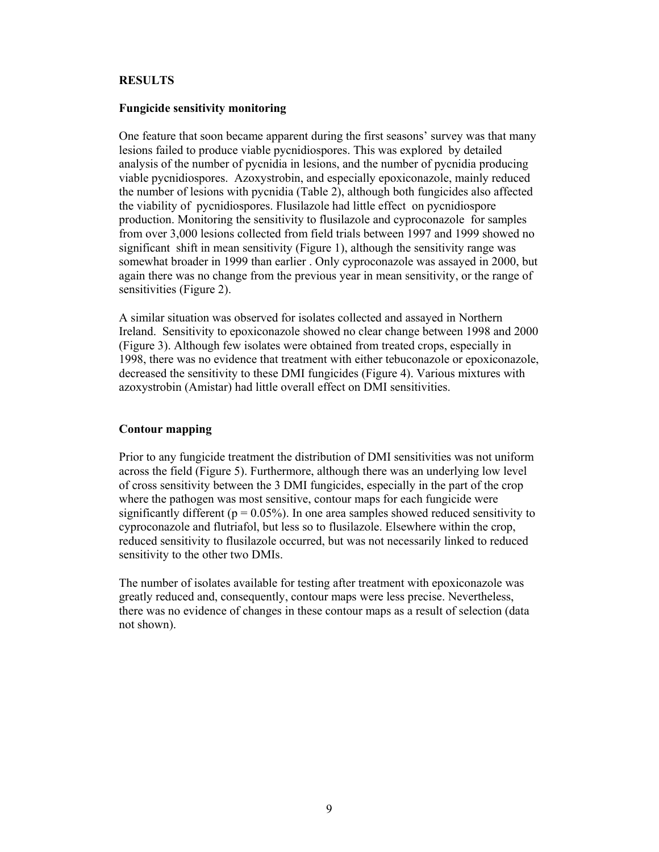### **RESULTS**

#### **Fungicide sensitivity monitoring**

One feature that soon became apparent during the first seasons' survey was that many lesions failed to produce viable pycnidiospores. This was explored by detailed analysis of the number of pycnidia in lesions, and the number of pycnidia producing viable pycnidiospores. Azoxystrobin, and especially epoxiconazole, mainly reduced the number of lesions with pycnidia (Table 2), although both fungicides also affected the viability of pycnidiospores. Flusilazole had little effect on pycnidiospore production. Monitoring the sensitivity to flusilazole and cyproconazole for samples from over 3,000 lesions collected from field trials between 1997 and 1999 showed no significant shift in mean sensitivity (Figure 1), although the sensitivity range was somewhat broader in 1999 than earlier . Only cyproconazole was assayed in 2000, but again there was no change from the previous year in mean sensitivity, or the range of sensitivities (Figure 2).

A similar situation was observed for isolates collected and assayed in Northern Ireland. Sensitivity to epoxiconazole showed no clear change between 1998 and 2000 (Figure 3). Although few isolates were obtained from treated crops, especially in 1998, there was no evidence that treatment with either tebuconazole or epoxiconazole, decreased the sensitivity to these DMI fungicides (Figure 4). Various mixtures with azoxystrobin (Amistar) had little overall effect on DMI sensitivities.

#### **Contour mapping**

Prior to any fungicide treatment the distribution of DMI sensitivities was not uniform across the field (Figure 5). Furthermore, although there was an underlying low level of cross sensitivity between the 3 DMI fungicides, especially in the part of the crop where the pathogen was most sensitive, contour maps for each fungicide were significantly different ( $p = 0.05\%$ ). In one area samples showed reduced sensitivity to cyproconazole and flutriafol, but less so to flusilazole. Elsewhere within the crop, reduced sensitivity to flusilazole occurred, but was not necessarily linked to reduced sensitivity to the other two DMIs.

The number of isolates available for testing after treatment with epoxiconazole was greatly reduced and, consequently, contour maps were less precise. Nevertheless, there was no evidence of changes in these contour maps as a result of selection (data not shown).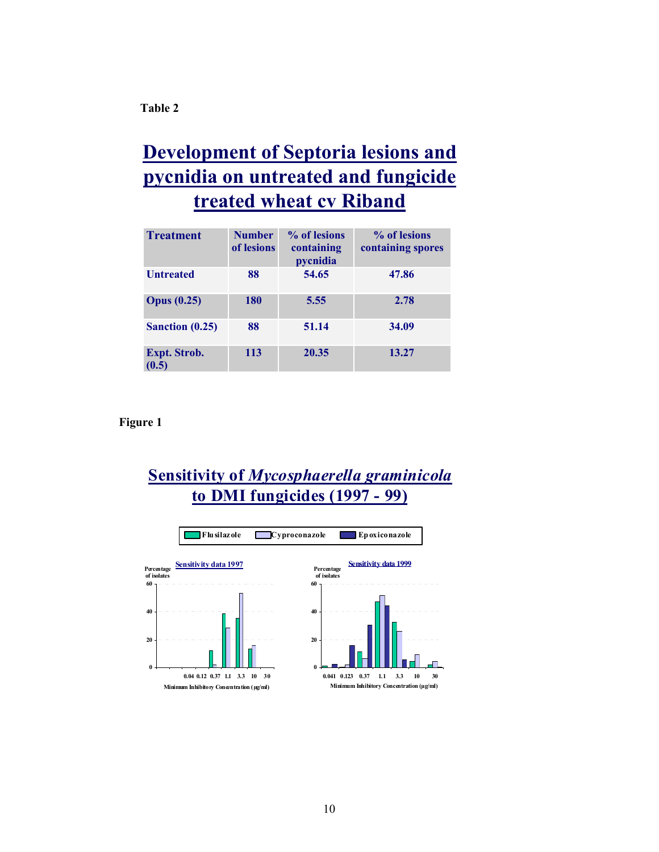# **Development of Septoria lesions and pycnidia on untreated and fungicide treated wheat cv Riband**

| <b>Treatment</b>      | <b>Number</b><br>of lesions | % of lesions<br>containing<br>pycnidia | % of lesions<br>containing spores |
|-----------------------|-----------------------------|----------------------------------------|-----------------------------------|
| <b>Untreated</b>      | 88                          | 54.65                                  | 47.86                             |
| <b>Opus (0.25)</b>    | 180                         | 5.55                                   | 2.78                              |
| Sanction $(0.25)$     | 88                          | 51.14                                  | 34.09                             |
| Expt. Strob.<br>(0.5) | 113                         | 20.35                                  | 13.27                             |

**Figure 1** 

# **Sensitivity of** *Mycosphaerella graminicola* **to DMI fungicides (1997 - 99)**

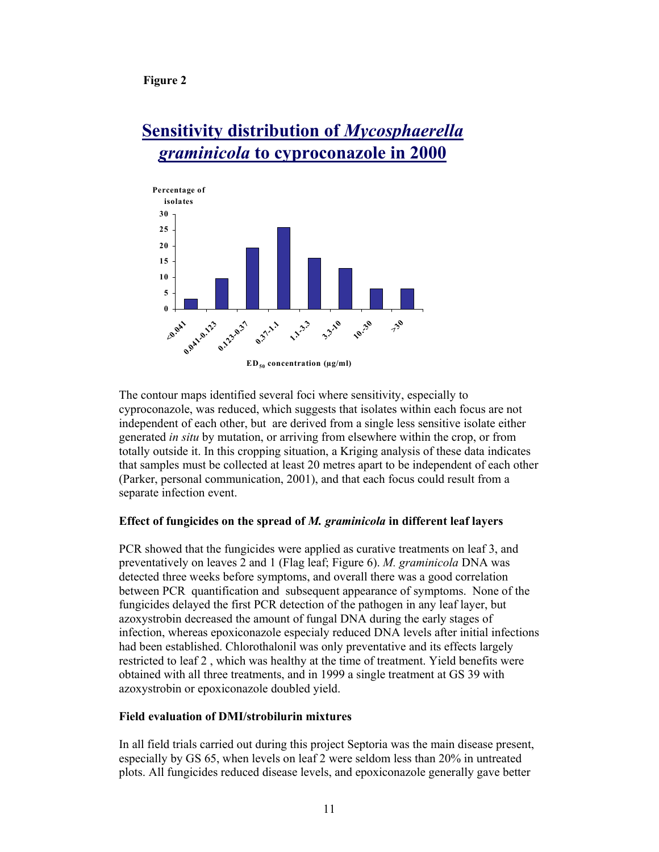# **Sensitivity distribution of** *Mycosphaerella graminicola* **to cyproconazole in 2000**



The contour maps identified several foci where sensitivity, especially to cyproconazole, was reduced, which suggests that isolates within each focus are not independent of each other, but are derived from a single less sensitive isolate either generated *in situ* by mutation, or arriving from elsewhere within the crop, or from totally outside it. In this cropping situation, a Kriging analysis of these data indicates that samples must be collected at least 20 metres apart to be independent of each other (Parker, personal communication, 2001), and that each focus could result from a separate infection event.

# **Effect of fungicides on the spread of** *M. graminicola* **in different leaf layers**

PCR showed that the fungicides were applied as curative treatments on leaf 3, and preventatively on leaves 2 and 1 (Flag leaf; Figure 6). *M. graminicola* DNA was detected three weeks before symptoms, and overall there was a good correlation between PCR quantification and subsequent appearance of symptoms. None of the fungicides delayed the first PCR detection of the pathogen in any leaf layer, but azoxystrobin decreased the amount of fungal DNA during the early stages of infection, whereas epoxiconazole especialy reduced DNA levels after initial infections had been established. Chlorothalonil was only preventative and its effects largely restricted to leaf 2 , which was healthy at the time of treatment. Yield benefits were obtained with all three treatments, and in 1999 a single treatment at GS 39 with azoxystrobin or epoxiconazole doubled yield.

# **Field evaluation of DMI/strobilurin mixtures**

In all field trials carried out during this project Septoria was the main disease present, especially by GS 65, when levels on leaf 2 were seldom less than 20% in untreated plots. All fungicides reduced disease levels, and epoxiconazole generally gave better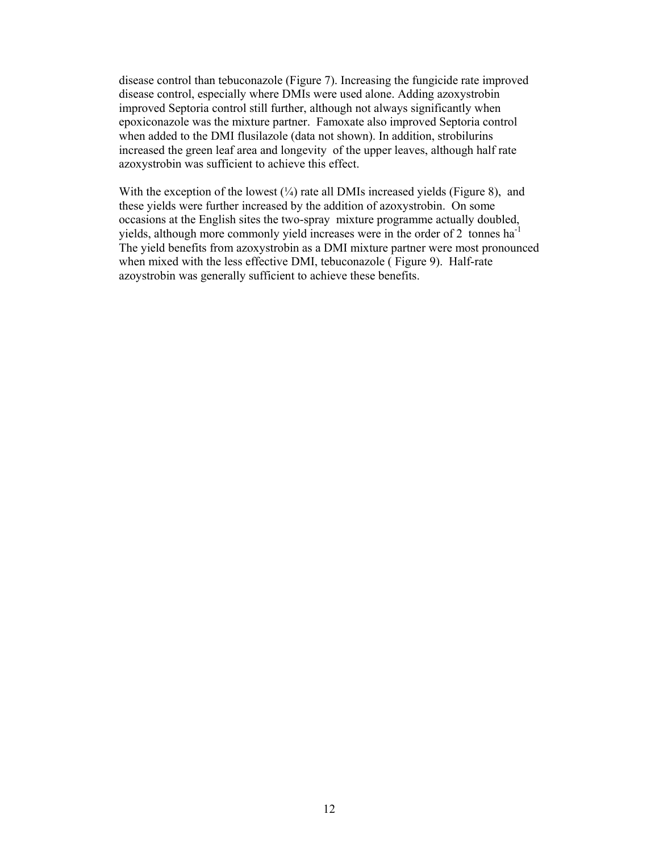disease control than tebuconazole (Figure 7). Increasing the fungicide rate improved disease control, especially where DMIs were used alone. Adding azoxystrobin improved Septoria control still further, although not always significantly when epoxiconazole was the mixture partner. Famoxate also improved Septoria control when added to the DMI flusilazole (data not shown). In addition, strobilurins increased the green leaf area and longevity of the upper leaves, although half rate azoxystrobin was sufficient to achieve this effect.

With the exception of the lowest  $(\frac{1}{4})$  rate all DMIs increased yields (Figure 8), and these yields were further increased by the addition of azoxystrobin. On some occasions at the English sites the two-spray mixture programme actually doubled, yields, although more commonly yield increases were in the order of 2 tonnes ha<sup>-1</sup> The yield benefits from azoxystrobin as a DMI mixture partner were most pronounced when mixed with the less effective DMI, tebuconazole ( Figure 9). Half-rate azoystrobin was generally sufficient to achieve these benefits.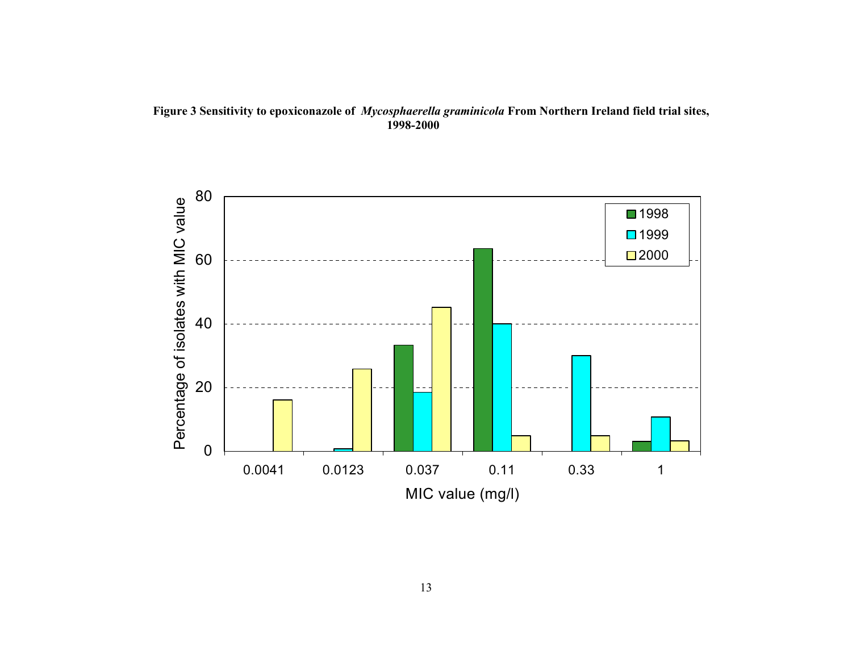

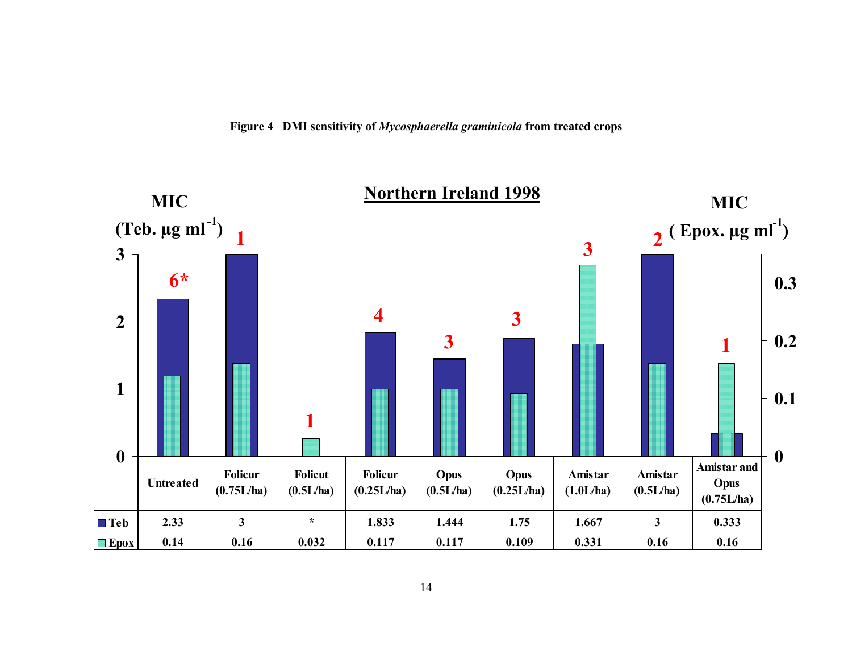**Figure 4 DMI sensitivity of** *Mycosphaerella graminicola* **from treated crops** 

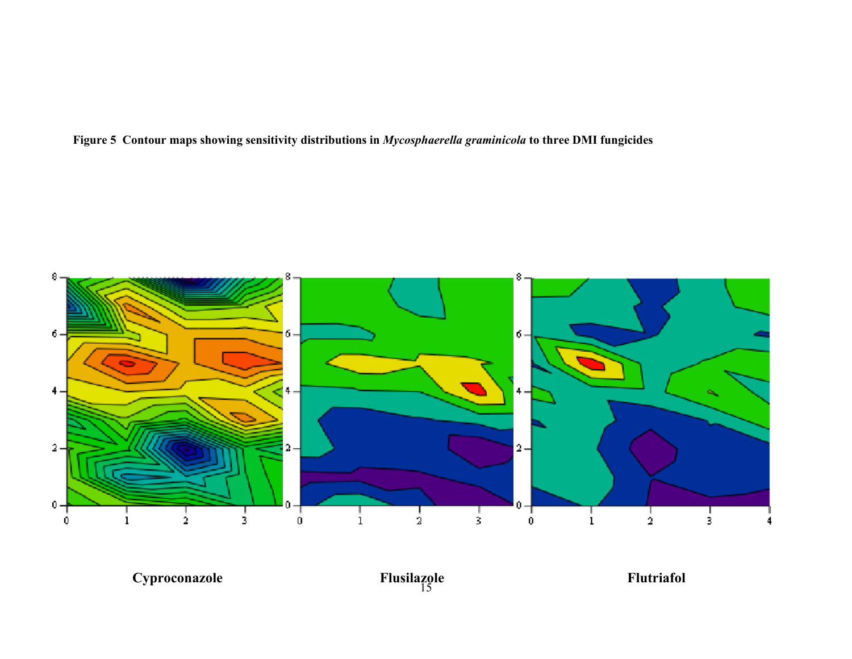**Figure 5 Contour maps showing sensitivity distributions in** *Mycosphaerella graminicola* **to three DMI fungicides**



**Cyproconazole Flusilazole Flutriafol**

 $\frac{15}{15}$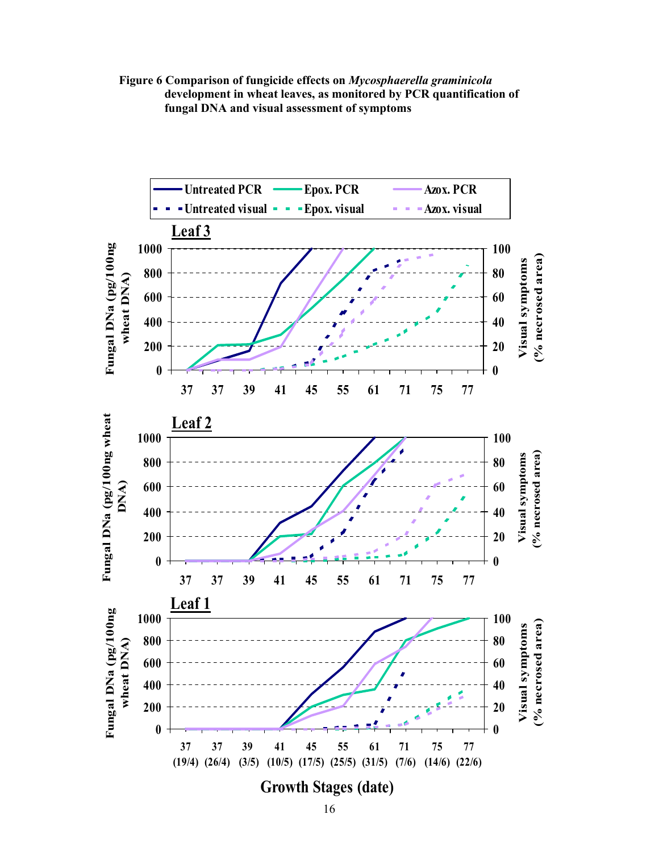**Figure 6 Comparison of fungicide effects on** *Mycosphaerella graminicola* **development in wheat leaves, as monitored by PCR quantification of fungal DNA and visual assessment of symptoms** 

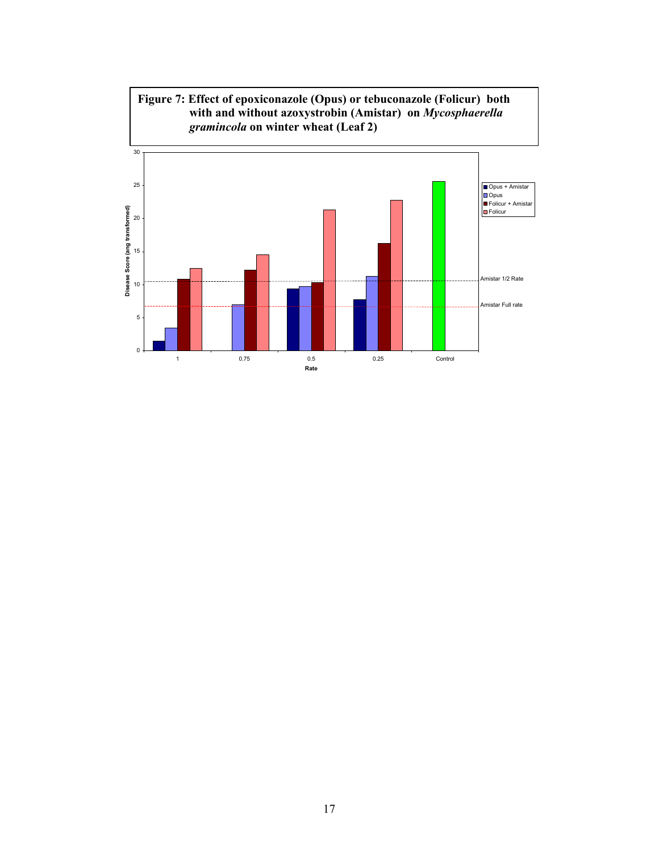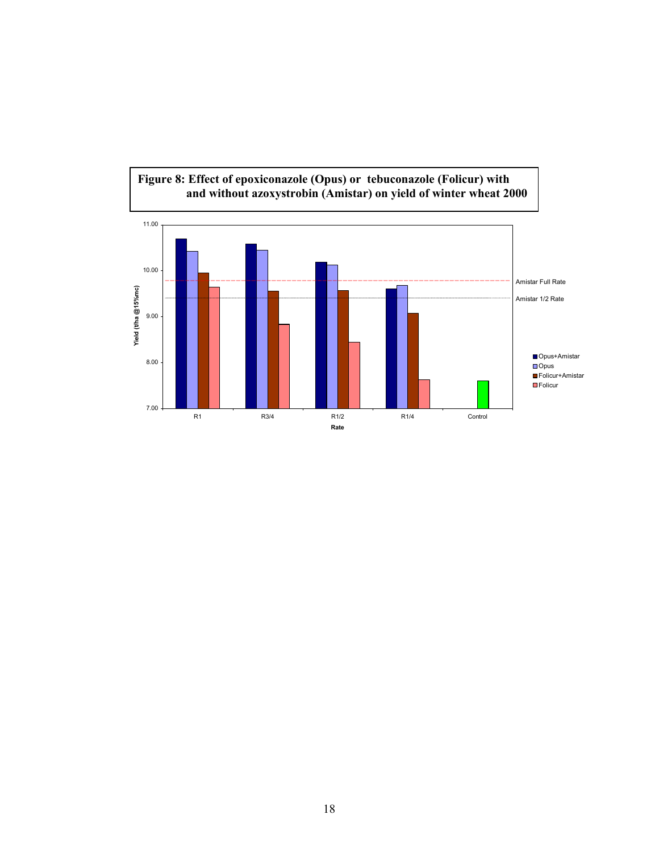

# **Rate**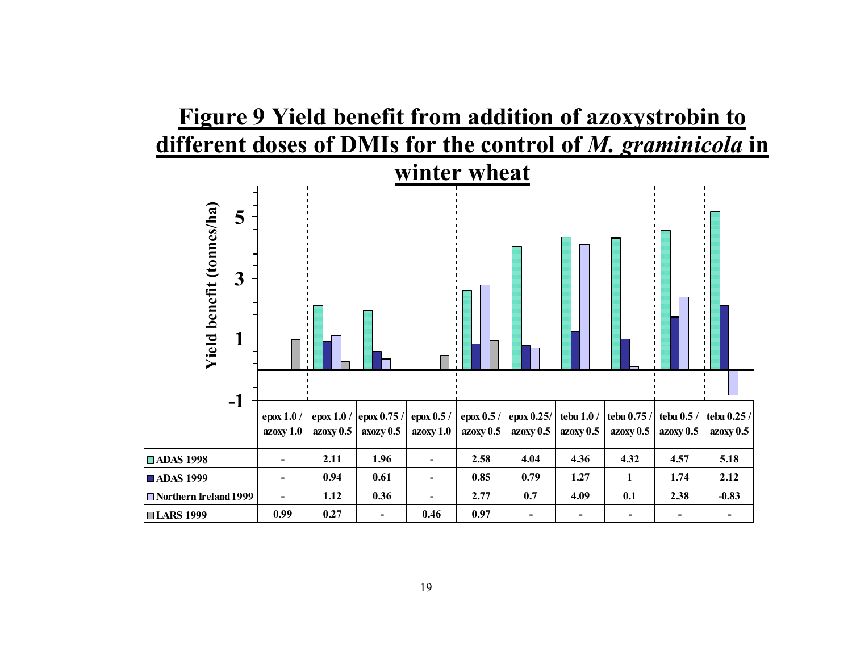

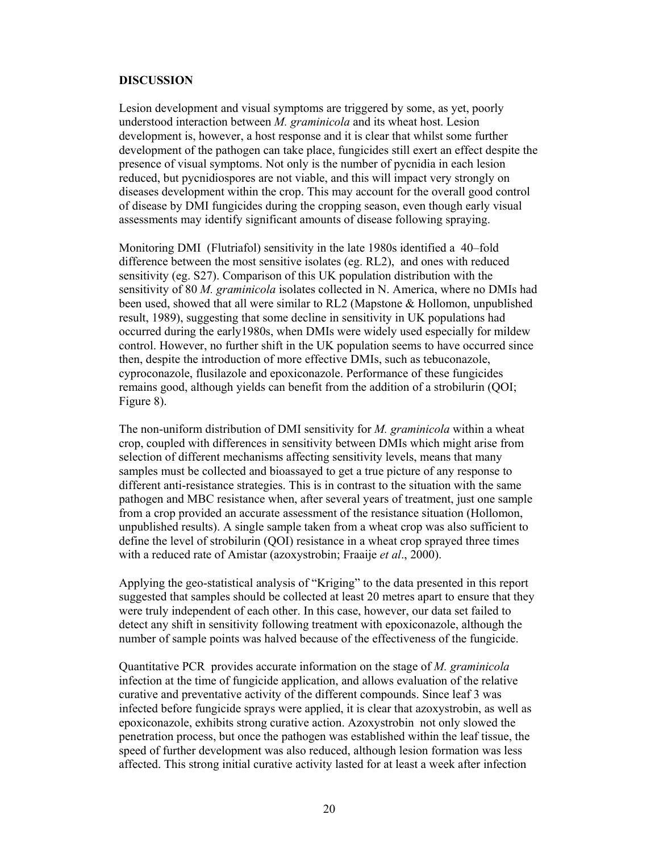#### **DISCUSSION**

Lesion development and visual symptoms are triggered by some, as yet, poorly understood interaction between *M. graminicola* and its wheat host. Lesion development is, however, a host response and it is clear that whilst some further development of the pathogen can take place, fungicides still exert an effect despite the presence of visual symptoms. Not only is the number of pycnidia in each lesion reduced, but pycnidiospores are not viable, and this will impact very strongly on diseases development within the crop. This may account for the overall good control of disease by DMI fungicides during the cropping season, even though early visual assessments may identify significant amounts of disease following spraying.

Monitoring DMI (Flutriafol) sensitivity in the late 1980s identified a 40–fold difference between the most sensitive isolates (eg. RL2), and ones with reduced sensitivity (eg. S27). Comparison of this UK population distribution with the sensitivity of 80 *M. graminicola* isolates collected in N. America, where no DMIs had been used, showed that all were similar to RL2 (Mapstone & Hollomon, unpublished result, 1989), suggesting that some decline in sensitivity in UK populations had occurred during the early1980s, when DMIs were widely used especially for mildew control. However, no further shift in the UK population seems to have occurred since then, despite the introduction of more effective DMIs, such as tebuconazole, cyproconazole, flusilazole and epoxiconazole. Performance of these fungicides remains good, although yields can benefit from the addition of a strobilurin (QOI; Figure 8).

The non-uniform distribution of DMI sensitivity for *M. graminicola* within a wheat crop, coupled with differences in sensitivity between DMIs which might arise from selection of different mechanisms affecting sensitivity levels, means that many samples must be collected and bioassayed to get a true picture of any response to different anti-resistance strategies. This is in contrast to the situation with the same pathogen and MBC resistance when, after several years of treatment, just one sample from a crop provided an accurate assessment of the resistance situation (Hollomon, unpublished results). A single sample taken from a wheat crop was also sufficient to define the level of strobilurin (QOI) resistance in a wheat crop sprayed three times with a reduced rate of Amistar (azoxystrobin; Fraaije *et al*., 2000).

Applying the geo-statistical analysis of "Kriging" to the data presented in this report suggested that samples should be collected at least 20 metres apart to ensure that they were truly independent of each other. In this case, however, our data set failed to detect any shift in sensitivity following treatment with epoxiconazole, although the number of sample points was halved because of the effectiveness of the fungicide.

Quantitative PCR provides accurate information on the stage of *M. graminicola*  infection at the time of fungicide application, and allows evaluation of the relative curative and preventative activity of the different compounds. Since leaf 3 was infected before fungicide sprays were applied, it is clear that azoxystrobin, as well as epoxiconazole, exhibits strong curative action. Azoxystrobin not only slowed the penetration process, but once the pathogen was established within the leaf tissue, the speed of further development was also reduced, although lesion formation was less affected. This strong initial curative activity lasted for at least a week after infection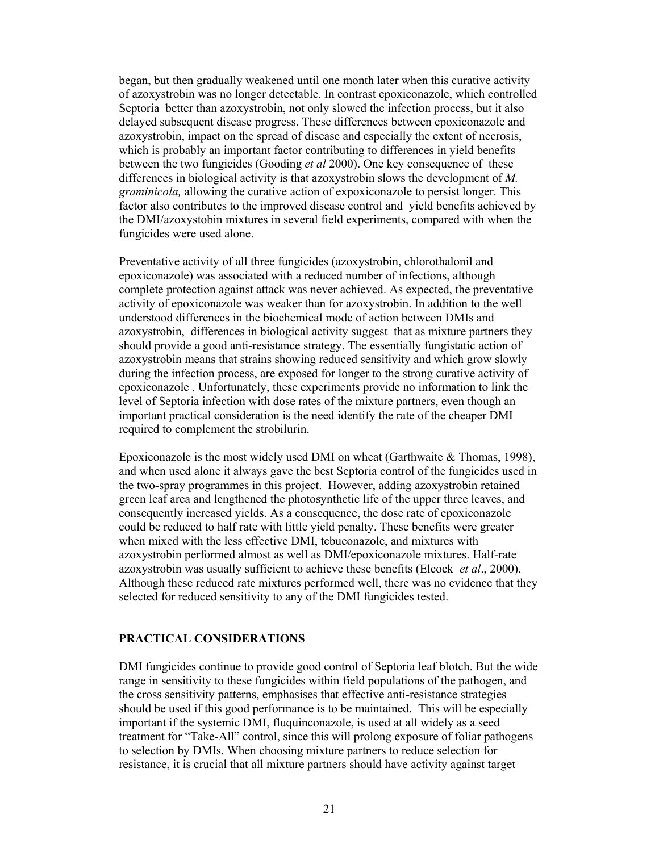began, but then gradually weakened until one month later when this curative activity of azoxystrobin was no longer detectable. In contrast epoxiconazole, which controlled Septoria better than azoxystrobin, not only slowed the infection process, but it also delayed subsequent disease progress. These differences between epoxiconazole and azoxystrobin, impact on the spread of disease and especially the extent of necrosis, which is probably an important factor contributing to differences in yield benefits between the two fungicides (Gooding *et al* 2000). One key consequence of these differences in biological activity is that azoxystrobin slows the development of *M. graminicola,* allowing the curative action of expoxiconazole to persist longer. This factor also contributes to the improved disease control and yield benefits achieved by the DMI/azoxystobin mixtures in several field experiments, compared with when the fungicides were used alone.

Preventative activity of all three fungicides (azoxystrobin, chlorothalonil and epoxiconazole) was associated with a reduced number of infections, although complete protection against attack was never achieved. As expected, the preventative activity of epoxiconazole was weaker than for azoxystrobin. In addition to the well understood differences in the biochemical mode of action between DMIs and azoxystrobin, differences in biological activity suggest that as mixture partners they should provide a good anti-resistance strategy. The essentially fungistatic action of azoxystrobin means that strains showing reduced sensitivity and which grow slowly during the infection process, are exposed for longer to the strong curative activity of epoxiconazole . Unfortunately, these experiments provide no information to link the level of Septoria infection with dose rates of the mixture partners, even though an important practical consideration is the need identify the rate of the cheaper DMI required to complement the strobilurin.

Epoxiconazole is the most widely used DMI on wheat (Garthwaite & Thomas, 1998), and when used alone it always gave the best Septoria control of the fungicides used in the two-spray programmes in this project. However, adding azoxystrobin retained green leaf area and lengthened the photosynthetic life of the upper three leaves, and consequently increased yields. As a consequence, the dose rate of epoxiconazole could be reduced to half rate with little yield penalty. These benefits were greater when mixed with the less effective DMI, tebuconazole, and mixtures with azoxystrobin performed almost as well as DMI/epoxiconazole mixtures. Half-rate azoxystrobin was usually sufficient to achieve these benefits (Elcock *et al*., 2000). Although these reduced rate mixtures performed well, there was no evidence that they selected for reduced sensitivity to any of the DMI fungicides tested.

# **PRACTICAL CONSIDERATIONS**

DMI fungicides continue to provide good control of Septoria leaf blotch. But the wide range in sensitivity to these fungicides within field populations of the pathogen, and the cross sensitivity patterns, emphasises that effective anti-resistance strategies should be used if this good performance is to be maintained. This will be especially important if the systemic DMI, fluquinconazole, is used at all widely as a seed treatment for "Take-All" control, since this will prolong exposure of foliar pathogens to selection by DMIs. When choosing mixture partners to reduce selection for resistance, it is crucial that all mixture partners should have activity against target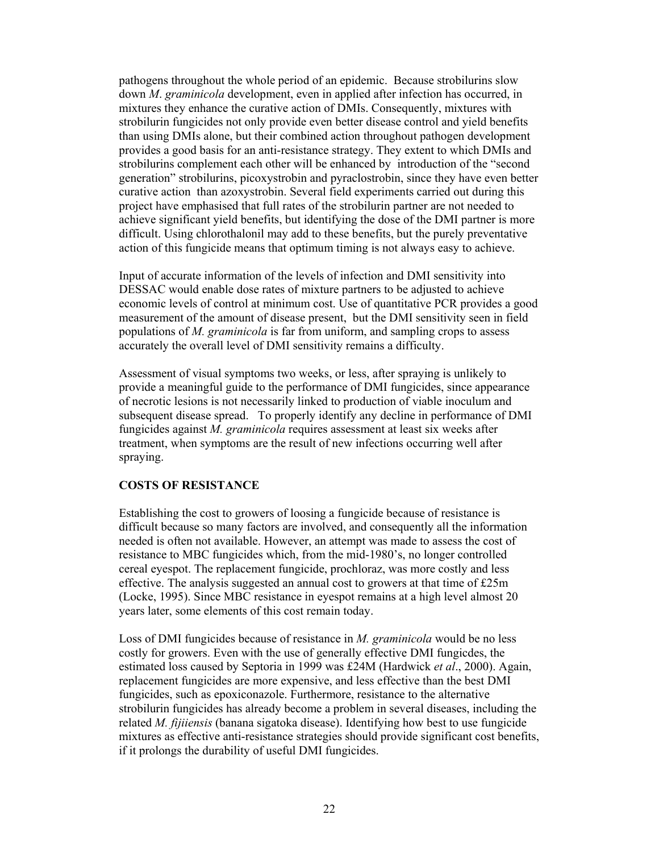pathogens throughout the whole period of an epidemic. Because strobilurins slow down *M*. *graminicola* development, even in applied after infection has occurred, in mixtures they enhance the curative action of DMIs. Consequently, mixtures with strobilurin fungicides not only provide even better disease control and yield benefits than using DMIs alone, but their combined action throughout pathogen development provides a good basis for an anti-resistance strategy. They extent to which DMIs and strobilurins complement each other will be enhanced by introduction of the "second generation" strobilurins, picoxystrobin and pyraclostrobin, since they have even better curative action than azoxystrobin. Several field experiments carried out during this project have emphasised that full rates of the strobilurin partner are not needed to achieve significant yield benefits, but identifying the dose of the DMI partner is more difficult. Using chlorothalonil may add to these benefits, but the purely preventative action of this fungicide means that optimum timing is not always easy to achieve.

Input of accurate information of the levels of infection and DMI sensitivity into DESSAC would enable dose rates of mixture partners to be adjusted to achieve economic levels of control at minimum cost. Use of quantitative PCR provides a good measurement of the amount of disease present, but the DMI sensitivity seen in field populations of *M. graminicola* is far from uniform, and sampling crops to assess accurately the overall level of DMI sensitivity remains a difficulty.

Assessment of visual symptoms two weeks, or less, after spraying is unlikely to provide a meaningful guide to the performance of DMI fungicides, since appearance of necrotic lesions is not necessarily linked to production of viable inoculum and subsequent disease spread. To properly identify any decline in performance of DMI fungicides against *M. graminicola* requires assessment at least six weeks after treatment, when symptoms are the result of new infections occurring well after spraying.

# **COSTS OF RESISTANCE**

Establishing the cost to growers of loosing a fungicide because of resistance is difficult because so many factors are involved, and consequently all the information needed is often not available. However, an attempt was made to assess the cost of resistance to MBC fungicides which, from the mid-1980's, no longer controlled cereal eyespot. The replacement fungicide, prochloraz, was more costly and less effective. The analysis suggested an annual cost to growers at that time of £25m (Locke, 1995). Since MBC resistance in eyespot remains at a high level almost 20 years later, some elements of this cost remain today.

Loss of DMI fungicides because of resistance in *M. graminicola* would be no less costly for growers. Even with the use of generally effective DMI fungicdes, the estimated loss caused by Septoria in 1999 was £24M (Hardwick *et al*., 2000). Again, replacement fungicides are more expensive, and less effective than the best DMI fungicides, such as epoxiconazole. Furthermore, resistance to the alternative strobilurin fungicides has already become a problem in several diseases, including the related *M. fijiiensis* (banana sigatoka disease). Identifying how best to use fungicide mixtures as effective anti-resistance strategies should provide significant cost benefits, if it prolongs the durability of useful DMI fungicides.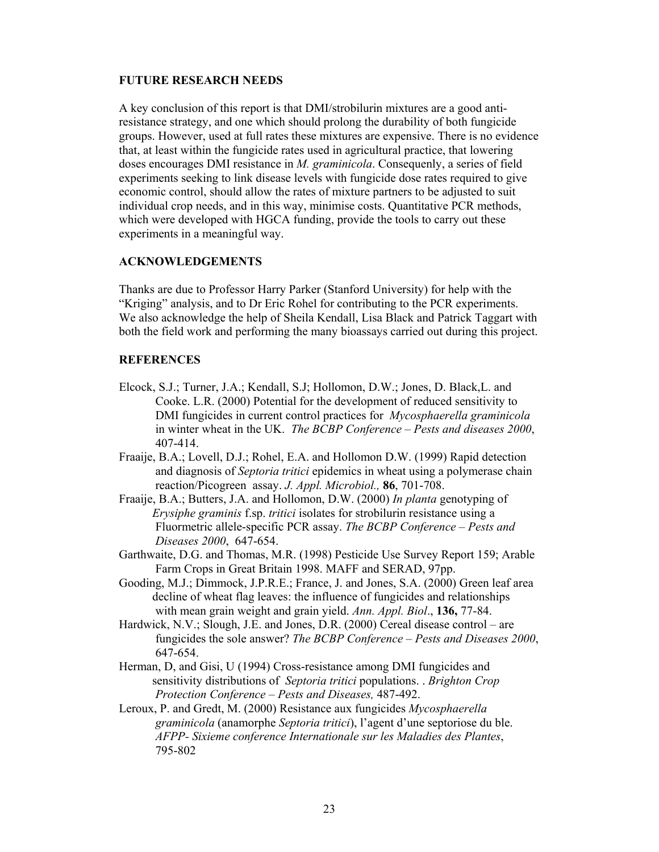# **FUTURE RESEARCH NEEDS**

A key conclusion of this report is that DMI/strobilurin mixtures are a good antiresistance strategy, and one which should prolong the durability of both fungicide groups. However, used at full rates these mixtures are expensive. There is no evidence that, at least within the fungicide rates used in agricultural practice, that lowering doses encourages DMI resistance in *M. graminicola*. Consequenly, a series of field experiments seeking to link disease levels with fungicide dose rates required to give economic control, should allow the rates of mixture partners to be adjusted to suit individual crop needs, and in this way, minimise costs. Quantitative PCR methods, which were developed with HGCA funding, provide the tools to carry out these experiments in a meaningful way.

# **ACKNOWLEDGEMENTS**

Thanks are due to Professor Harry Parker (Stanford University) for help with the "Kriging" analysis, and to Dr Eric Rohel for contributing to the PCR experiments. We also acknowledge the help of Sheila Kendall, Lisa Black and Patrick Taggart with both the field work and performing the many bioassays carried out during this project.

# **REFERENCES**

- Elcock, S.J.; Turner, J.A.; Kendall, S.J; Hollomon, D.W.; Jones, D. Black,L. and Cooke. L.R. (2000) Potential for the development of reduced sensitivity to DMI fungicides in current control practices for *Mycosphaerella graminicola* in winter wheat in the UK. *The BCBP Conference – Pests and diseases 2000*, 407-414.
- Fraaije, B.A.; Lovell, D.J.; Rohel, E.A. and Hollomon D.W. (1999) Rapid detection and diagnosis of *Septoria tritici* epidemics in wheat using a polymerase chain reaction/Picogreen assay. *J. Appl. Microbiol.,* **86**, 701-708.
- Fraaije, B.A.; Butters, J.A. and Hollomon, D.W. (2000) *In planta* genotyping of *Erysiphe graminis* f.sp. *tritici* isolates for strobilurin resistance using a Fluormetric allele-specific PCR assay. *The BCBP Conference – Pests and Diseases 2000*, 647-654.
- Garthwaite, D.G. and Thomas, M.R. (1998) Pesticide Use Survey Report 159; Arable Farm Crops in Great Britain 1998. MAFF and SERAD, 97pp.
- Gooding, M.J.; Dimmock, J.P.R.E.; France, J. and Jones, S.A. (2000) Green leaf area decline of wheat flag leaves: the influence of fungicides and relationships with mean grain weight and grain yield. *Ann. Appl. Biol*., **136,** 77-84.
- Hardwick, N.V.; Slough, J.E. and Jones, D.R. (2000) Cereal disease control are fungicides the sole answer? *The BCBP Conference – Pests and Diseases 2000*, 647-654.
- Herman, D, and Gisi, U (1994) Cross-resistance among DMI fungicides and sensitivity distributions of *Septoria tritici* populations. . *Brighton Crop Protection Conference – Pests and Diseases,* 487-492.
- Leroux, P. and Gredt, M. (2000) Resistance aux fungicides *Mycosphaerella graminicola* (anamorphe *Septoria tritici*), l'agent d'une septoriose du ble. *AFPP- Sixieme conference Internationale sur les Maladies des Plantes*, 795-802